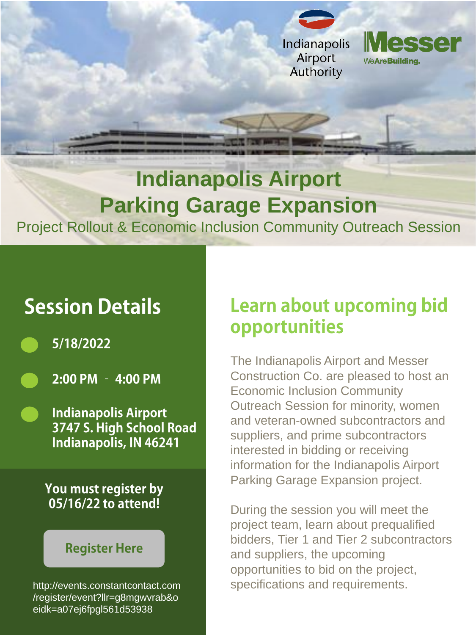



### **Indianapolis Airport Parking Garage Expansion** Project Rollout & Economic Inclusion Community Outreach Session

# **Session Details**

- 5/18/2022
	- 2:00 PM 4:00 PM
	- **Indianapolis Airport** 3747 S. High School Road **Indianapolis, IN 46241**

## **Learn about upcoming bid** opportunities

The Indianapolis Airport and Messer Construction Co. are pleased to host an Economic Inclusion Community Outreach Session for minority, women and veteran-owned subcontractors and suppliers, and prime subcontractors interested in bidding or receiving information for the Indianapolis Airport Parking Garage Expansion project.

#### You must register by 05/16/22 to attend!

### **Register Here**

During the session you will meet the project team, learn about prequalified bidders, Tier 1 and Tier 2 subcontractors and suppliers, the upcoming opportunities to bid on the project, [http://events.constantcontact.com](http://events.constantcontact.com/register/event?llr=g8mgwvrab&oeidk=a07ej6fpgl561d53938) specifications and requirements.

/register/event?llr=g8mgwvrab&o eidk=a07ej6fpgl561d53938